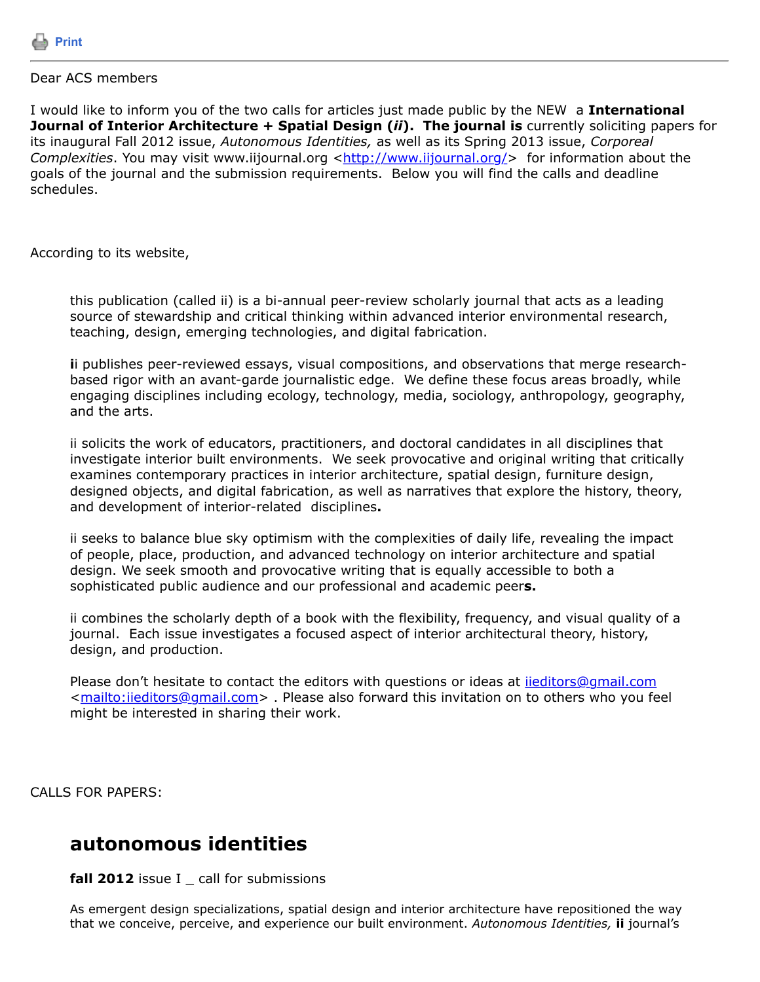

### Dear ACS members

I would like to inform you of the two calls for articles just made public by the NEW a **International Journal of Interior Architecture + Spatial Design (***ii***). The journal is** currently soliciting papers for its inaugural Fall 2012 issue, *Autonomous Identities,* as well as its Spring 2013 issue, *Corporeal Complexities*. You may visit www.iijournal.org [<http://w](http://)ww.iijournal.org/> for information about the goals of the journal and the submission requirements. Below you will find the calls and deadline schedules.

According to its website,

this publication (called ii) is a bi-annual peer-review scholarly journal that acts as a leading source of stewardship and critical thinking within advanced interior environmental research, teaching, design, emerging technologies, and digital fabrication.

**i**i publishes peer-reviewed essays, visual compositions, and observations that merge researchbased rigor with an avant-garde journalistic edge. We define these focus areas broadly, while engaging disciplines including ecology, technology, media, sociology, anthropology, geography, and the arts.

ii solicits the work of educators, practitioners, and doctoral candidates in all disciplines that investigate interior built environments. We seek provocative and original writing that critically examines contemporary practices in interior architecture, spatial design, furniture design, designed objects, and digital fabrication, as well as narratives that explore the history, theory, and development of interior-related disciplines**.**

ii seeks to balance blue sky optimism with the complexities of daily life, revealing the impact of people, place, production, and advanced technology on interior architecture and spatial design. We seek smooth and provocative writing that is equally accessible to both a sophisticated public audience and our professional and academic peer**s.**

ii combines the scholarly depth of a book with the flexibility, frequency, and visual quality of a journal. Each issue investigates a focused aspect of interior architectural theory, history, design, and production.

Please don't hesitate to contact the editors with questions or ideas at *iieditors@gmail.com* <<mailto:iieditors@gmail.com>> . Please also forward this invitation on to others who you feel might be interested in sharing their work.

CALLS FOR PAPERS:

## **autonomous identities**

**fall 2012** issue I \_ call for submissions

As emergent design specializations, spatial design and interior architecture have repositioned the way that we conceive, perceive, and experience our built environment. *Autonomous Identities,* **ii** journal's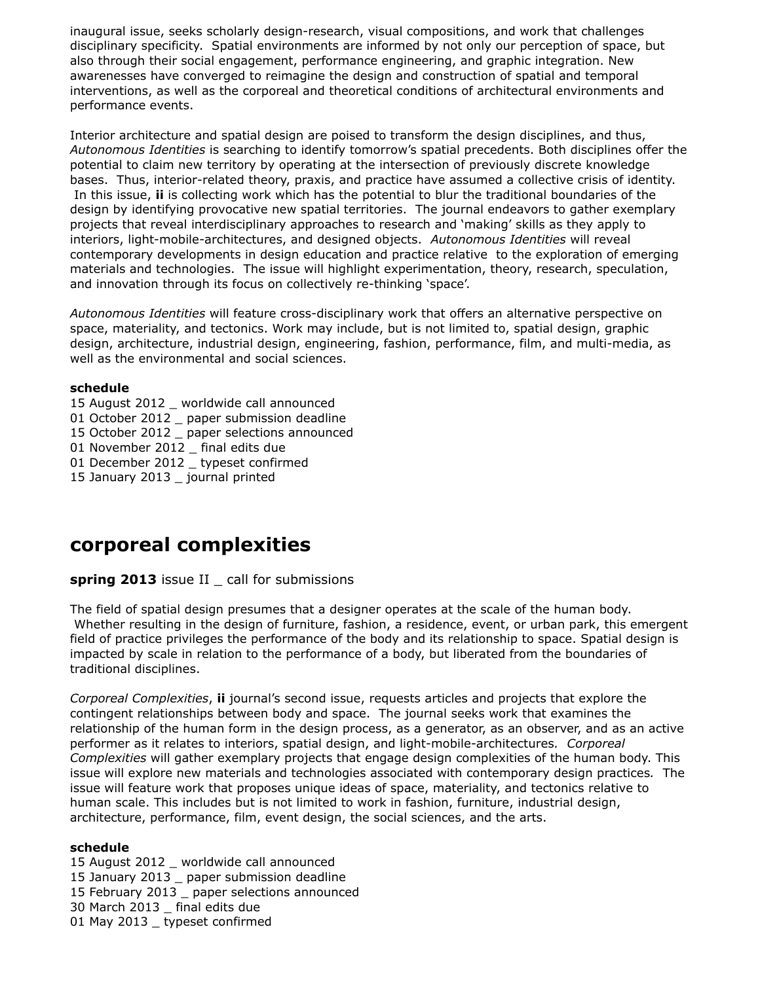inaugural issue, seeks scholarly design-research, visual compositions, and work that challenges disciplinary specificity. Spatial environments are informed by not only our perception of space, but also through their social engagement, performance engineering, and graphic integration. New awarenesses have converged to reimagine the design and construction of spatial and temporal interventions, as well as the corporeal and theoretical conditions of architectural environments and performance events.

Interior architecture and spatial design are poised to transform the design disciplines, and thus, *Autonomous Identities* is searching to identify tomorrow's spatial precedents. Both disciplines offer the potential to claim new territory by operating at the intersection of previously discrete knowledge bases. Thus, interior-related theory, praxis, and practice have assumed a collective crisis of identity. In this issue, **ii** is collecting work which has the potential to blur the traditional boundaries of the design by identifying provocative new spatial territories. The journal endeavors to gather exemplary projects that reveal interdisciplinary approaches to research and 'making' skills as they apply to interiors, light-mobile-architectures, and designed objects. *Autonomous Identities* will reveal contemporary developments in design education and practice relative to the exploration of emerging materials and technologies. The issue will highlight experimentation, theory, research, speculation, and innovation through its focus on collectively re-thinking 'space'.

*Autonomous Identities* will feature cross-disciplinary work that offers an alternative perspective on space, materiality, and tectonics. Work may include, but is not limited to, spatial design, graphic design, architecture, industrial design, engineering, fashion, performance, film, and multi-media, as well as the environmental and social sciences.

### **schedule**

- 15 August 2012 \_ worldwide call announced
- 01 October 2012 \_ paper submission deadline
- 15 October 2012 \_ paper selections announced
- 01 November 2012 final edits due
- 01 December 2012 \_ typeset confirmed
- 15 January 2013 \_ journal printed

# **corporeal complexities**

### **spring 2013** issue II \_ call for submissions

The field of spatial design presumes that a designer operates at the scale of the human body. Whether resulting in the design of furniture, fashion, a residence, event, or urban park, this emergent field of practice privileges the performance of the body and its relationship to space. Spatial design is impacted by scale in relation to the performance of a body, but liberated from the boundaries of traditional disciplines.

*Corporeal Complexities*, **ii** journal's second issue, requests articles and projects that explore the contingent relationships between body and space. The journal seeks work that examines the relationship of the human form in the design process, as a generator, as an observer, and as an active performer as it relates to interiors, spatial design, and light-mobile-architectures*. Corporeal Complexities* will gather exemplary projects that engage design complexities of the human body. This issue will explore new materials and technologies associated with contemporary design practices*.* The issue will feature work that proposes unique ideas of space, materiality, and tectonics relative to human scale. This includes but is not limited to work in fashion, furniture, industrial design, architecture, performance, film, event design, the social sciences, and the arts.

#### **schedule**

15 August 2012 \_ worldwide call announced 15 January 2013 \_ paper submission deadline 15 February 2013 \_ paper selections announced 30 March 2013 \_ final edits due 01 May 2013 typeset confirmed